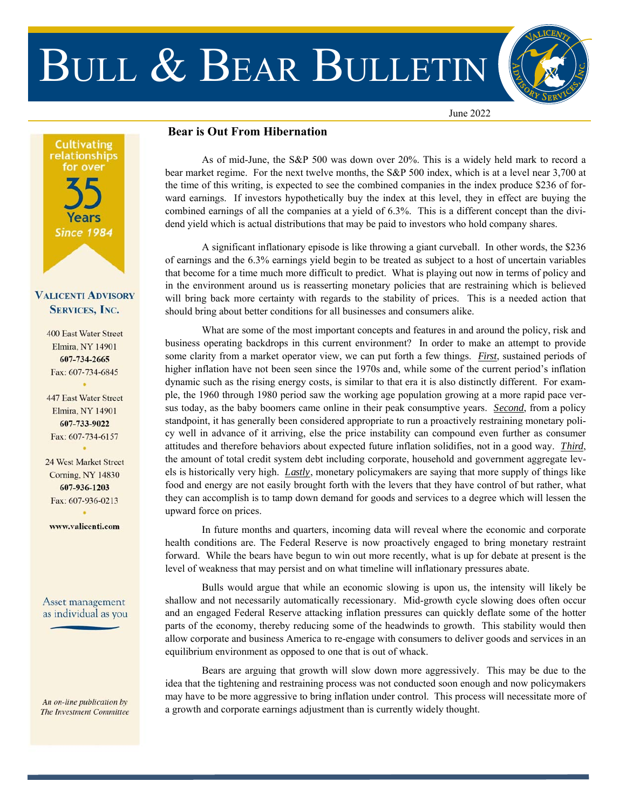# BULL & BEAR BULLETIN



June 2022

# **Cultivating** relationships for over Years **Since 1984**

## **VALICENTI ADVISORY SERVICES, INC.**

**400 East Water Street Elmira, NY 14901** 607-734-2665 Fax: 607-734-6845

447 East Water Street **Elmira, NY 14901** 607-733-9022 Fax: 607-734-6157

24 West Market Street **Corning, NY 14830** 607-936-1203 Fax: 607-936-0213

www.valicenti.com

#### Asset management as individual as you

An on-line publication by The Investment Committee

### **Bear is Out From Hibernation**

 As of mid-June, the S&P 500 was down over 20%. This is a widely held mark to record a bear market regime. For the next twelve months, the S&P 500 index, which is at a level near 3,700 at the time of this writing, is expected to see the combined companies in the index produce \$236 of forward earnings. If investors hypothetically buy the index at this level, they in effect are buying the combined earnings of all the companies at a yield of 6.3%. This is a different concept than the dividend yield which is actual distributions that may be paid to investors who hold company shares.

 A significant inflationary episode is like throwing a giant curveball. In other words, the \$236 of earnings and the 6.3% earnings yield begin to be treated as subject to a host of uncertain variables that become for a time much more difficult to predict. What is playing out now in terms of policy and in the environment around us is reasserting monetary policies that are restraining which is believed will bring back more certainty with regards to the stability of prices. This is a needed action that should bring about better conditions for all businesses and consumers alike.

 What are some of the most important concepts and features in and around the policy, risk and business operating backdrops in this current environment? In order to make an attempt to provide some clarity from a market operator view, we can put forth a few things. *First*, sustained periods of higher inflation have not been seen since the 1970s and, while some of the current period's inflation dynamic such as the rising energy costs, is similar to that era it is also distinctly different. For example, the 1960 through 1980 period saw the working age population growing at a more rapid pace versus today, as the baby boomers came online in their peak consumptive years. *Second*, from a policy standpoint, it has generally been considered appropriate to run a proactively restraining monetary policy well in advance of it arriving, else the price instability can compound even further as consumer attitudes and therefore behaviors about expected future inflation solidifies, not in a good way. *Third*, the amount of total credit system debt including corporate, household and government aggregate levels is historically very high. *Lastly*, monetary policymakers are saying that more supply of things like food and energy are not easily brought forth with the levers that they have control of but rather, what they can accomplish is to tamp down demand for goods and services to a degree which will lessen the upward force on prices.

 In future months and quarters, incoming data will reveal where the economic and corporate health conditions are. The Federal Reserve is now proactively engaged to bring monetary restraint forward. While the bears have begun to win out more recently, what is up for debate at present is the level of weakness that may persist and on what timeline will inflationary pressures abate.

 Bulls would argue that while an economic slowing is upon us, the intensity will likely be shallow and not necessarily automatically recessionary. Mid-growth cycle slowing does often occur and an engaged Federal Reserve attacking inflation pressures can quickly deflate some of the hotter parts of the economy, thereby reducing some of the headwinds to growth. This stability would then allow corporate and business America to re-engage with consumers to deliver goods and services in an equilibrium environment as opposed to one that is out of whack.

 Bears are arguing that growth will slow down more aggressively. This may be due to the idea that the tightening and restraining process was not conducted soon enough and now policymakers may have to be more aggressive to bring inflation under control. This process will necessitate more of a growth and corporate earnings adjustment than is currently widely thought.